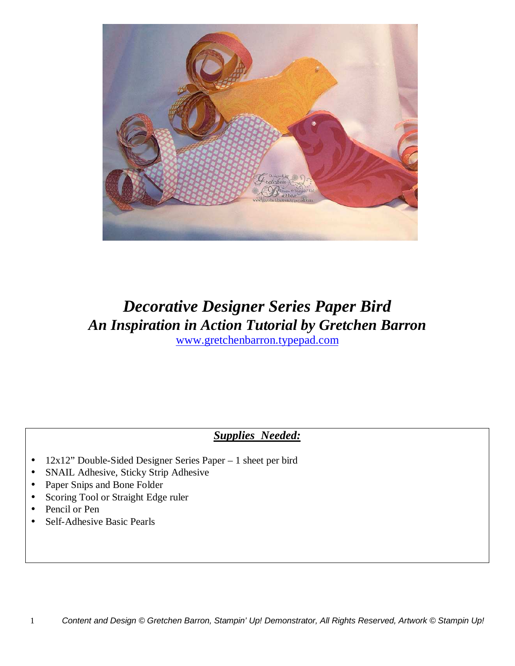

## *Decorative Designer Series Paper Bird An Inspiration in Action Tutorial by Gretchen Barron* www.gretchenbarron.typepad.com

## *Supplies Needed:*

- 12x12" Double-Sided Designer Series Paper 1 sheet per bird
- SNAIL Adhesive, Sticky Strip Adhesive
- Paper Snips and Bone Folder
- Scoring Tool or Straight Edge ruler
- Pencil or Pen
- Self-Adhesive Basic Pearls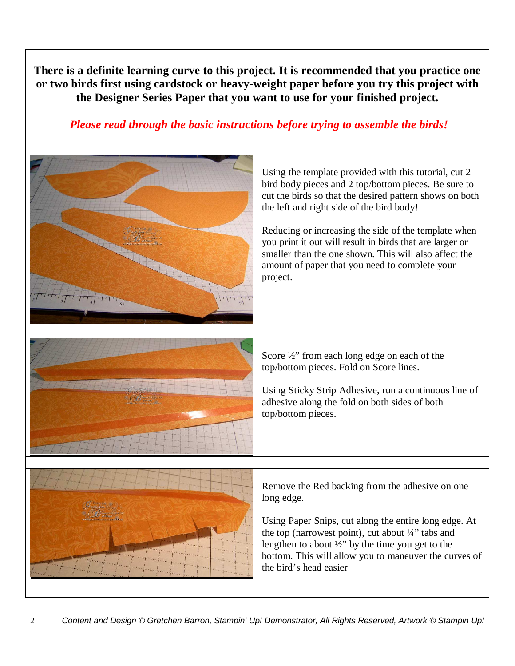**There is a definite learning curve to this project. It is recommended that you practice one or two birds first using cardstock or heavy-weight paper before you try this project with the Designer Series Paper that you want to use for your finished project.**

*Please read through the basic instructions before trying to assemble the birds!*



Using the template provided with this tutorial, cut 2 bird body pieces and 2 top/bottom pieces. Be sure to cut the birds so that the desired pattern shows on both the left and right side of the bird body!

Reducing or increasing the side of the template when you print it out will result in birds that are larger or smaller than the one shown. This will also affect the amount of paper that you need to complete your project.



Score  $\frac{1}{2}$ " from each long edge on each of the top/bottom pieces. Fold on Score lines.

Using Sticky Strip Adhesive, run a continuous line of adhesive along the fold on both sides of both top/bottom pieces.



Remove the Red backing from the adhesive on one long edge.

Using Paper Snips, cut along the entire long edge. At the top (narrowest point), cut about  $\frac{1}{4}$  tabs and lengthen to about  $\frac{1}{2}$ " by the time you get to the bottom. This will allow you to maneuver the curves of the bird's head easier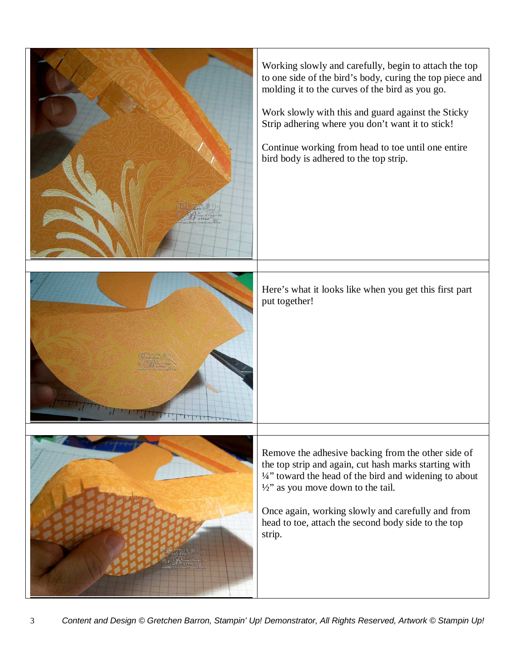| Working slowly and carefully, begin to attach the top<br>to one side of the bird's body, curing the top piece and<br>molding it to the curves of the bird as you go.<br>Work slowly with this and guard against the Sticky<br>Strip adhering where you don't want it to stick!<br>Continue working from head to toe until one entire<br>bird body is adhered to the top strip. |
|--------------------------------------------------------------------------------------------------------------------------------------------------------------------------------------------------------------------------------------------------------------------------------------------------------------------------------------------------------------------------------|
| Here's what it looks like when you get this first part<br>put together!                                                                                                                                                                                                                                                                                                        |
| Remove the adhesive backing from the other side of<br>the top strip and again, cut hash marks starting with<br>1/4" toward the head of the bird and widening to about<br>$\frac{1}{2}$ " as you move down to the tail.<br>Once again, working slowly and carefully and from<br>head to toe, attach the second body side to the top<br>strip.                                   |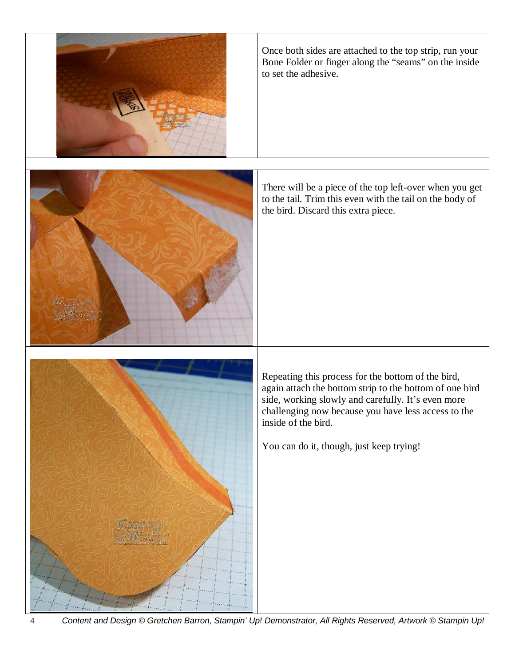

Once both sides are attached to the top strip, run your Bone Folder or finger along the "seams" on the inside to set the adhesive.



There will be a piece of the top left-over when you get to the tail. Trim this even with the tail on the body of the bird. Discard this extra piece.



Repeating this process for the bottom of the bird, again attach the bottom strip to the bottom of one bird side, working slowly and carefully. It's even more challenging now because you have less access to the inside of the bird.

You can do it, though, just keep trying!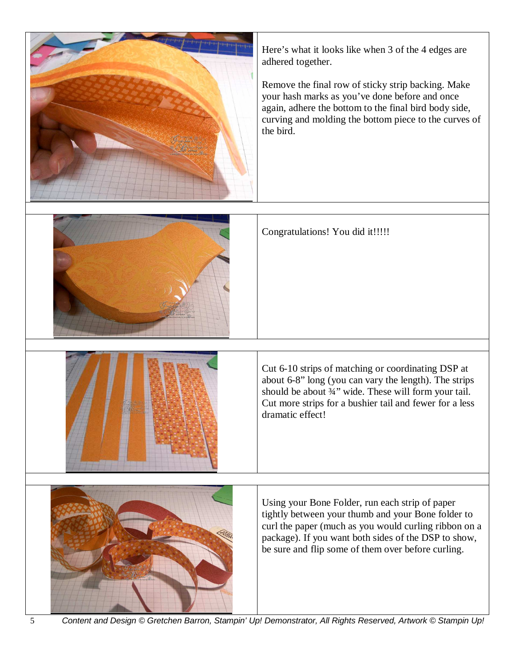

5 Content and Design © Gretchen Barron, Stampin' Up! Demonstrator, All Rights Reserved, Artwork © Stampin Up!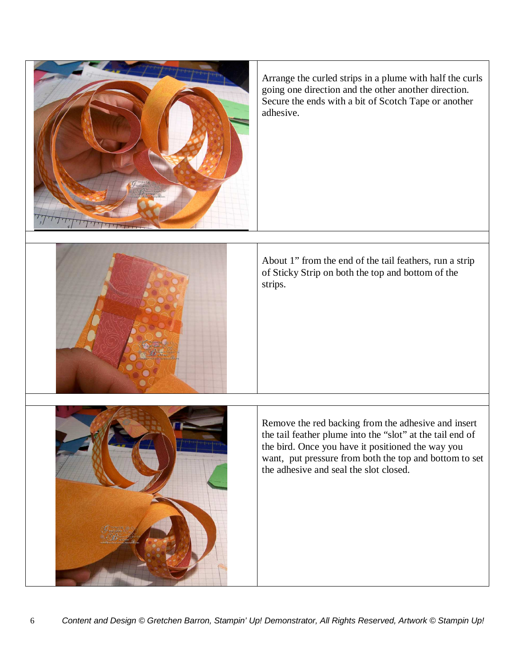